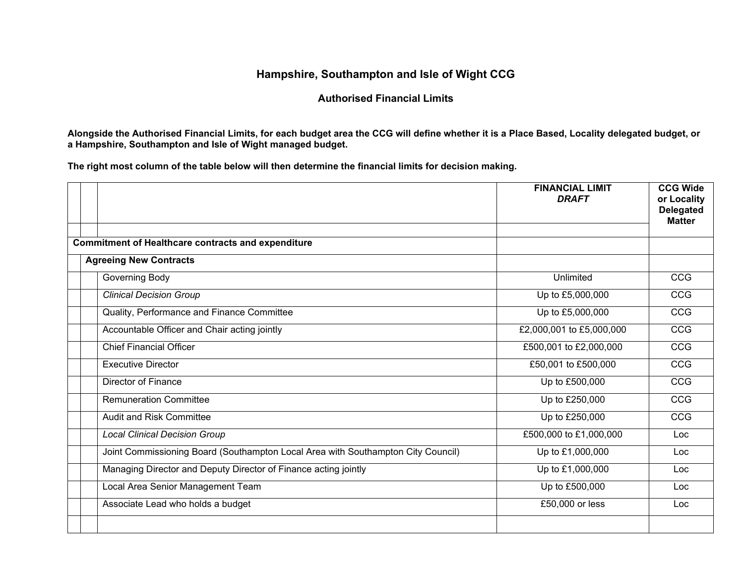## **Hampshire, Southampton and Isle of Wight CCG**

## **Authorised Financial Limits**

**Alongside the Authorised Financial Limits, for each budget area the CCG will define whether it is a Place Based, Locality delegated budget, or a Hampshire, Southampton and Isle of Wight managed budget.** 

**The right most column of the table below will then determine the financial limits for decision making.**

|                                                                                  | <b>FINANCIAL LIMIT</b><br><b>DRAFT</b> | <b>CCG Wide</b><br>or Locality<br><b>Delegated</b><br><b>Matter</b> |
|----------------------------------------------------------------------------------|----------------------------------------|---------------------------------------------------------------------|
| <b>Commitment of Healthcare contracts and expenditure</b>                        |                                        |                                                                     |
| <b>Agreeing New Contracts</b>                                                    |                                        |                                                                     |
| Governing Body                                                                   | Unlimited                              | CCG                                                                 |
| <b>Clinical Decision Group</b>                                                   | Up to £5,000,000                       | CCG                                                                 |
| Quality, Performance and Finance Committee                                       | Up to £5,000,000                       | CCG                                                                 |
| Accountable Officer and Chair acting jointly                                     | £2,000,001 to £5,000,000               | CCG                                                                 |
| <b>Chief Financial Officer</b>                                                   | £500,001 to £2,000,000                 | <b>CCG</b>                                                          |
| <b>Executive Director</b>                                                        | £50,001 to £500,000                    | CCG                                                                 |
| <b>Director of Finance</b>                                                       | Up to £500,000                         | <b>CCG</b>                                                          |
| <b>Remuneration Committee</b>                                                    | Up to £250,000                         | <b>CCG</b>                                                          |
| <b>Audit and Risk Committee</b>                                                  | Up to £250,000                         | CCG                                                                 |
| <b>Local Clinical Decision Group</b>                                             | £500,000 to £1,000,000                 | Loc                                                                 |
| Joint Commissioning Board (Southampton Local Area with Southampton City Council) | Up to £1,000,000                       | Loc                                                                 |
| Managing Director and Deputy Director of Finance acting jointly                  | Up to £1,000,000                       | Loc                                                                 |
| Local Area Senior Management Team                                                | Up to £500,000                         | Loc                                                                 |
| Associate Lead who holds a budget                                                | £50,000 or less                        | Loc                                                                 |
|                                                                                  |                                        |                                                                     |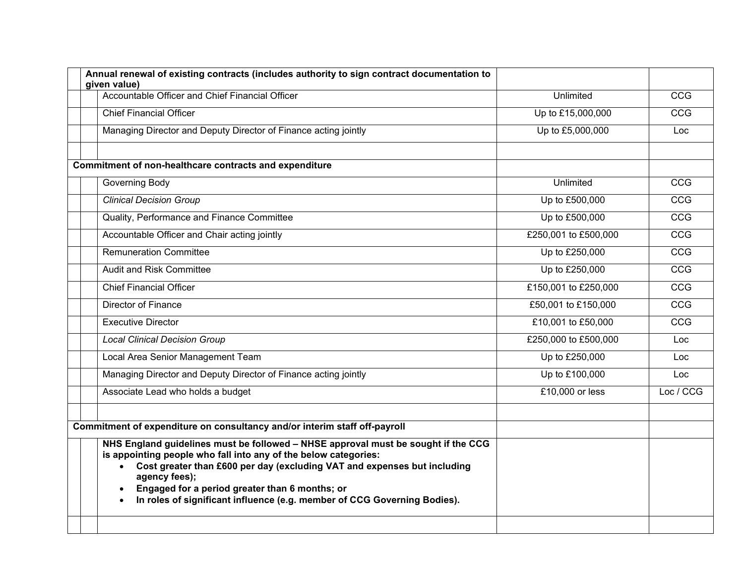| Annual renewal of existing contracts (includes authority to sign contract documentation to<br>given value)                                                                                                                                                                                                                                                                      |                      |            |
|---------------------------------------------------------------------------------------------------------------------------------------------------------------------------------------------------------------------------------------------------------------------------------------------------------------------------------------------------------------------------------|----------------------|------------|
| Accountable Officer and Chief Financial Officer                                                                                                                                                                                                                                                                                                                                 | Unlimited            | <b>CCG</b> |
| <b>Chief Financial Officer</b>                                                                                                                                                                                                                                                                                                                                                  | Up to £15,000,000    | CCG        |
| Managing Director and Deputy Director of Finance acting jointly                                                                                                                                                                                                                                                                                                                 | Up to £5,000,000     | Loc        |
| Commitment of non-healthcare contracts and expenditure                                                                                                                                                                                                                                                                                                                          |                      |            |
| Governing Body                                                                                                                                                                                                                                                                                                                                                                  | Unlimited            | <b>CCG</b> |
| <b>Clinical Decision Group</b>                                                                                                                                                                                                                                                                                                                                                  | Up to £500,000       | <b>CCG</b> |
| Quality, Performance and Finance Committee                                                                                                                                                                                                                                                                                                                                      | Up to £500,000       | CCG        |
| Accountable Officer and Chair acting jointly                                                                                                                                                                                                                                                                                                                                    | £250,001 to £500,000 | <b>CCG</b> |
| <b>Remuneration Committee</b>                                                                                                                                                                                                                                                                                                                                                   | Up to £250,000       | <b>CCG</b> |
| Audit and Risk Committee                                                                                                                                                                                                                                                                                                                                                        | Up to £250,000       | <b>CCG</b> |
| <b>Chief Financial Officer</b>                                                                                                                                                                                                                                                                                                                                                  | £150,001 to £250,000 | CCG        |
| <b>Director of Finance</b>                                                                                                                                                                                                                                                                                                                                                      | £50,001 to £150,000  | <b>CCG</b> |
| <b>Executive Director</b>                                                                                                                                                                                                                                                                                                                                                       | £10,001 to £50,000   | CCG        |
| <b>Local Clinical Decision Group</b>                                                                                                                                                                                                                                                                                                                                            | £250,000 to £500,000 | Loc.       |
| Local Area Senior Management Team                                                                                                                                                                                                                                                                                                                                               | Up to £250,000       | Loc        |
| Managing Director and Deputy Director of Finance acting jointly                                                                                                                                                                                                                                                                                                                 | Up to £100,000       | Loc.       |
| Associate Lead who holds a budget                                                                                                                                                                                                                                                                                                                                               | £10,000 or less      | Loc / CCG  |
| Commitment of expenditure on consultancy and/or interim staff off-payroll                                                                                                                                                                                                                                                                                                       |                      |            |
| NHS England guidelines must be followed - NHSE approval must be sought if the CCG<br>is appointing people who fall into any of the below categories:<br>Cost greater than £600 per day (excluding VAT and expenses but including<br>agency fees);<br>Engaged for a period greater than 6 months; or<br>In roles of significant influence (e.g. member of CCG Governing Bodies). |                      |            |
|                                                                                                                                                                                                                                                                                                                                                                                 |                      |            |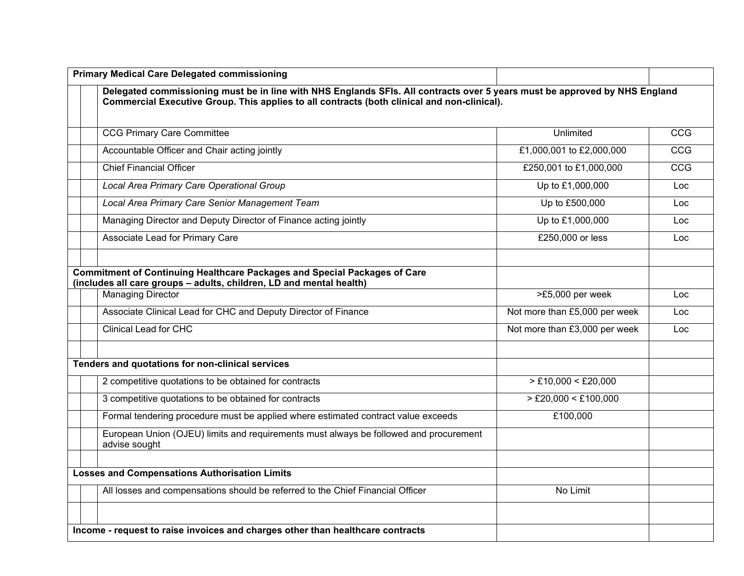| <b>Primary Medical Care Delegated commissioning</b>                                                                                                                                                                       |                               |            |
|---------------------------------------------------------------------------------------------------------------------------------------------------------------------------------------------------------------------------|-------------------------------|------------|
| Delegated commissioning must be in line with NHS Englands SFIs. All contracts over 5 years must be approved by NHS England<br>Commercial Executive Group. This applies to all contracts (both clinical and non-clinical). |                               |            |
| <b>CCG Primary Care Committee</b>                                                                                                                                                                                         | Unlimited                     | <b>CCG</b> |
| Accountable Officer and Chair acting jointly                                                                                                                                                                              | £1,000,001 to £2,000,000      | CCG        |
| <b>Chief Financial Officer</b>                                                                                                                                                                                            | £250,001 to £1,000,000        | CCG        |
| Local Area Primary Care Operational Group                                                                                                                                                                                 | Up to £1,000,000              | Loc        |
| Local Area Primary Care Senior Management Team                                                                                                                                                                            | Up to £500,000                | Loc        |
| Managing Director and Deputy Director of Finance acting jointly                                                                                                                                                           | Up to £1,000,000              | Loc.       |
| Associate Lead for Primary Care                                                                                                                                                                                           | £250,000 or less              | Loc        |
| <b>Commitment of Continuing Healthcare Packages and Special Packages of Care</b><br>(includes all care groups - adults, children, LD and mental health)                                                                   |                               |            |
| <b>Managing Director</b>                                                                                                                                                                                                  | >£5,000 per week              | Loc        |
| Associate Clinical Lead for CHC and Deputy Director of Finance                                                                                                                                                            | Not more than £5,000 per week | Loc        |
| <b>Clinical Lead for CHC</b>                                                                                                                                                                                              | Not more than £3,000 per week | Loc        |
| Tenders and quotations for non-clinical services                                                                                                                                                                          |                               |            |
| 2 competitive quotations to be obtained for contracts                                                                                                                                                                     | $>E10,000$ < £20,000          |            |
| 3 competitive quotations to be obtained for contracts                                                                                                                                                                     | $>$ £20,000 < £100,000        |            |
| Formal tendering procedure must be applied where estimated contract value exceeds                                                                                                                                         | £100,000                      |            |
| European Union (OJEU) limits and requirements must always be followed and procurement<br>advise sought                                                                                                                    |                               |            |
| <b>Losses and Compensations Authorisation Limits</b>                                                                                                                                                                      |                               |            |
| All losses and compensations should be referred to the Chief Financial Officer                                                                                                                                            | No Limit                      |            |
| Income - request to raise invoices and charges other than healthcare contracts                                                                                                                                            |                               |            |